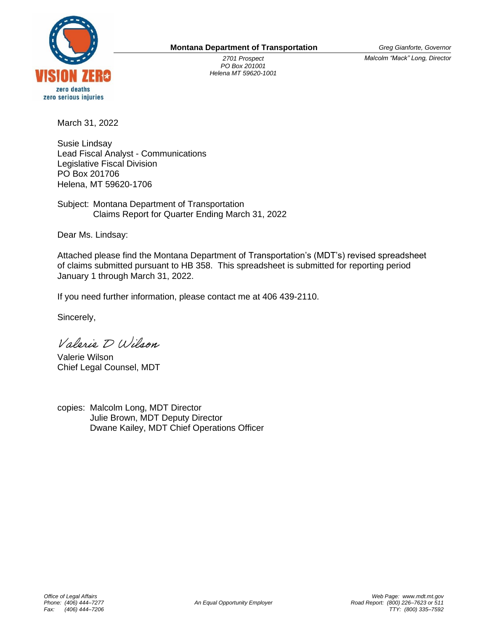

*2701 Prospect PO Box 201001 Helena MT 59620-1001* *Greg Gianforte, Governor*

*Malcolm "Mack" Long, Director*

March 31, 2022

Susie Lindsay Lead Fiscal Analyst - Communications Legislative Fiscal Division PO Box 201706 Helena, MT 59620-1706

Subject: Montana Department of Transportation Claims Report for Quarter Ending March 31, 2022

Dear Ms. Lindsay:

Attached please find the Montana Department of Transportation's (MDT's) revised spreadsheet of claims submitted pursuant to HB 358. This spreadsheet is submitted for reporting period January 1 through March 31, 2022.

If you need further information, please contact me at 406 439-2110.

Sincerely,

Valerio D Wilson

Valerie Wilson Chief Legal Counsel, MDT

copies: Malcolm Long, MDT Director Julie Brown, MDT Deputy Director Dwane Kailey, MDT Chief Operations Officer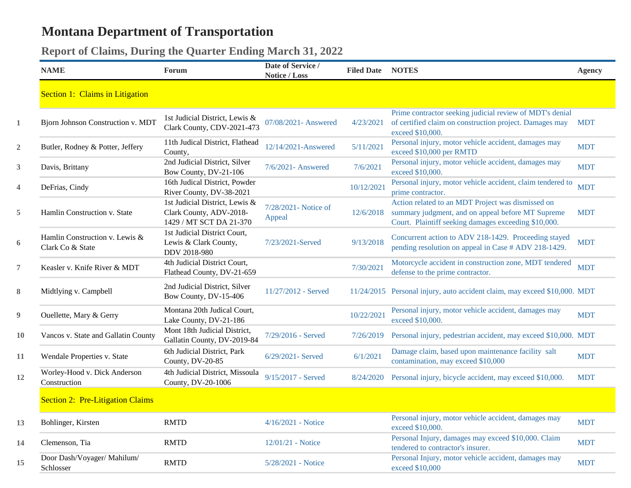## **Montana Department of Transportation**

## **Report of Claims, During the Quarter Ending March 31, 2022**

|                  | <b>NAME</b>                                        | Forum                                                                                | Date of Service /<br>Notice / Loss | <b>Filed Date NOTES</b> |                                                                                                                                                                | <b>Agency</b> |
|------------------|----------------------------------------------------|--------------------------------------------------------------------------------------|------------------------------------|-------------------------|----------------------------------------------------------------------------------------------------------------------------------------------------------------|---------------|
|                  | Section 1: Claims in Litigation                    |                                                                                      |                                    |                         |                                                                                                                                                                |               |
| $\mathbf{1}$     | Bjorn Johnson Construction v. MDT                  | 1st Judicial District, Lewis &<br>Clark County, CDV-2021-473                         | 07/08/2021- Answered               | 4/23/2021               | Prime contractor seeking judicial review of MDT's denial<br>of certified claim on construction project. Damages may<br>exceed \$10,000.                        | <b>MDT</b>    |
| $\overline{2}$   | Butler, Rodney & Potter, Jeffery                   | 11th Judical District, Flathead<br>County,                                           | 12/14/2021-Answered                | 5/11/2021               | Personal injury, motor vehicle accident, damages may<br>exceed \$10,000 per RMTD                                                                               | <b>MDT</b>    |
| 3                | Davis, Brittany                                    | 2nd Judicial District, Silver<br>Bow County, DV-21-106                               | 7/6/2021- Answered                 | 7/6/2021                | Personal injury, motor vehicle accident, damages may<br>exceed \$10,000.                                                                                       | <b>MDT</b>    |
| 4                | DeFrias, Cindy                                     | 16th Judical District, Powder<br>River County, DV-38-2021                            |                                    | 10/12/2021              | Personal injury, motor vehicle accident, claim tendered to<br>prime contractor.                                                                                | <b>MDT</b>    |
| 5                | Hamlin Construction v. State                       | 1st Judicial District, Lewis &<br>Clark County, ADV-2018-<br>1429 / MT SCT DA 21-370 | 7/28/2021- Notice of<br>Appeal     | 12/6/2018               | Action related to an MDT Project was dismissed on<br>summary judgment, and on appeal before MT Supreme<br>Court. Plaintiff seeking damages exceeding \$10,000. | <b>MDT</b>    |
| 6                | Hamlin Construction v. Lewis &<br>Clark Co & State | 1st Judicial District Court,<br>Lewis & Clark County,<br>DDV 2018-980                | 7/23/2021-Served                   | 9/13/2018               | Concurrent action to ADV 218-1429. Proceeding stayed<br>pending resolution on appeal in Case # ADV 218-1429.                                                   | <b>MDT</b>    |
| 7                | Keasler v. Knife River & MDT                       | 4th Judicial District Court,<br>Flathead County, DV-21-659                           |                                    | 7/30/2021               | Motorcycle accident in construction zone, MDT tendered<br>defense to the prime contractor.                                                                     | <b>MDT</b>    |
| 8                | Midtlying v. Campbell                              | 2nd Judicial District, Silver<br>Bow County, DV-15-406                               | 11/27/2012 - Served                |                         | 11/24/2015 Personal injury, auto accident claim, may exceed \$10,000. MDT                                                                                      |               |
| $\boldsymbol{9}$ | Ouellette, Mary & Gerry                            | Montana 20th Judical Court,<br>Lake County, DV-21-186                                |                                    | 10/22/2021              | Personal injury, motor vehicle accident, damages may<br>exceed \$10,000.                                                                                       | <b>MDT</b>    |
| 10               | Vancos v. State and Gallatin County                | Mont 18th Judicial District,<br>Gallatin County, DV-2019-84                          | 7/29/2016 - Served                 | 7/26/2019               | Personal injury, pedestrian accident, may exceed \$10,000. MDT                                                                                                 |               |
| 11               | Wendale Properties v. State                        | 6th Judicial District, Park<br>County, DV-20-85                                      | 6/29/2021- Served                  | 6/1/2021                | Damage claim, based upon maintenance facility salt<br>contamination, may exceed \$10,000                                                                       | <b>MDT</b>    |
| 12               | Worley-Hood v. Dick Anderson<br>Construction       | 4th Judicial District, Missoula<br>County, DV-20-1006                                | 9/15/2017 - Served                 | 8/24/2020               | Personal injury, bicycle accident, may exceed \$10,000.                                                                                                        | <b>MDT</b>    |
|                  | <b>Section 2: Pre-Litigation Claims</b>            |                                                                                      |                                    |                         |                                                                                                                                                                |               |
| 13               | Bohlinger, Kirsten                                 | <b>RMTD</b>                                                                          | 4/16/2021 - Notice                 |                         | Personal injury, motor vehicle accident, damages may<br>exceed \$10,000.                                                                                       | <b>MDT</b>    |
| 14               | Clemenson, Tia                                     | <b>RMTD</b>                                                                          | 12/01/21 - Notice                  |                         | Personal Injury, damages may exceed \$10,000. Claim<br>tendered to contractor's insurer.                                                                       | <b>MDT</b>    |
| 15               | Door Dash/Voyager/ Mahilum/<br>Schlosser           | <b>RMTD</b>                                                                          | 5/28/2021 - Notice                 |                         | Personal Injury, motor vehicle accident, damages may<br>exceed \$10,000                                                                                        | <b>MDT</b>    |